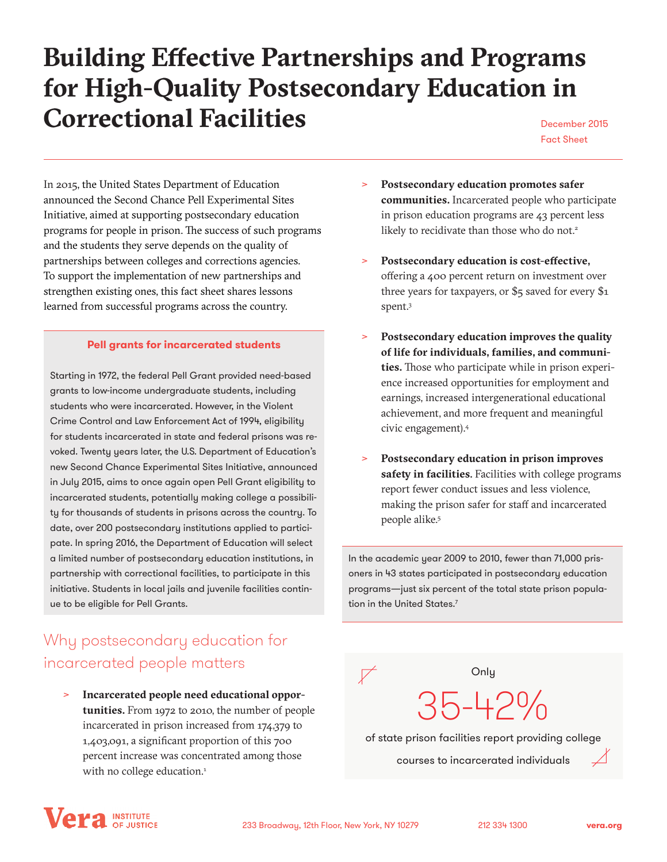# **Building Effective Partnerships and Programs for High-Quality Postsecondary Education in Correctional Facilities** December 2015

Fact Sheet

In 2015, the United States Department of Education announced the Second Chance Pell Experimental Sites Initiative, aimed at supporting postsecondary education programs for people in prison. The success of such programs and the students they serve depends on the quality of partnerships between colleges and corrections agencies. To support the implementation of new partnerships and strengthen existing ones, this fact sheet shares lessons learned from successful programs across the country.

#### **Pell grants for incarcerated students**

Starting in 1972, the federal Pell Grant provided need-based grants to low-income undergraduate students, including students who were incarcerated. However, in the Violent Crime Control and Law Enforcement Act of 1994, eligibility for students incarcerated in state and federal prisons was revoked. Twenty years later, the U.S. Department of Education's new Second Chance Experimental Sites Initiative, announced in July 2015, aims to once again open Pell Grant eligibility to incarcerated students, potentially making college a possibility for thousands of students in prisons across the country. To date, over 200 postsecondary institutions applied to participate. In spring 2016, the Department of Education will select a limited number of postsecondary education institutions, in partnership with correctional facilities, to participate in this initiative. Students in local jails and juvenile facilities continue to be eligible for Pell Grants.

## Why postsecondary education for incarcerated people matters

ʺ **Incarcerated people need educational opportunities.** From 1972 to 2010, the number of people incarcerated in prison increased from 174,379 to 1,403,091, a significant proportion of this 700 percent increase was concentrated among those with no college education.<sup>1</sup>

- ʺ **Postsecondary education promotes safer communities.** Incarcerated people who participate in prison education programs are 43 percent less likely to recidivate than those who do not.<sup>2</sup>
- ʺ **Postsecondary education is cost-effective,** offering a 400 percent return on investment over three years for taxpayers, or \$5 saved for every \$1 spent.3
- ʺ **Postsecondary education improves the quality of life for individuals, families, and communities.** Those who participate while in prison experience increased opportunities for employment and earnings, increased intergenerational educational achievement, and more frequent and meaningful civic engagement).4
- ʺ **Postsecondary education in prison improves safety in facilities**. Facilities with college programs report fewer conduct issues and less violence, making the prison safer for staff and incarcerated people alike.5

In the academic year 2009 to 2010, fewer than 71,000 prisoners in 43 states participated in postsecondary education programs—just six percent of the total state prison population in the United States.<sup>7</sup>



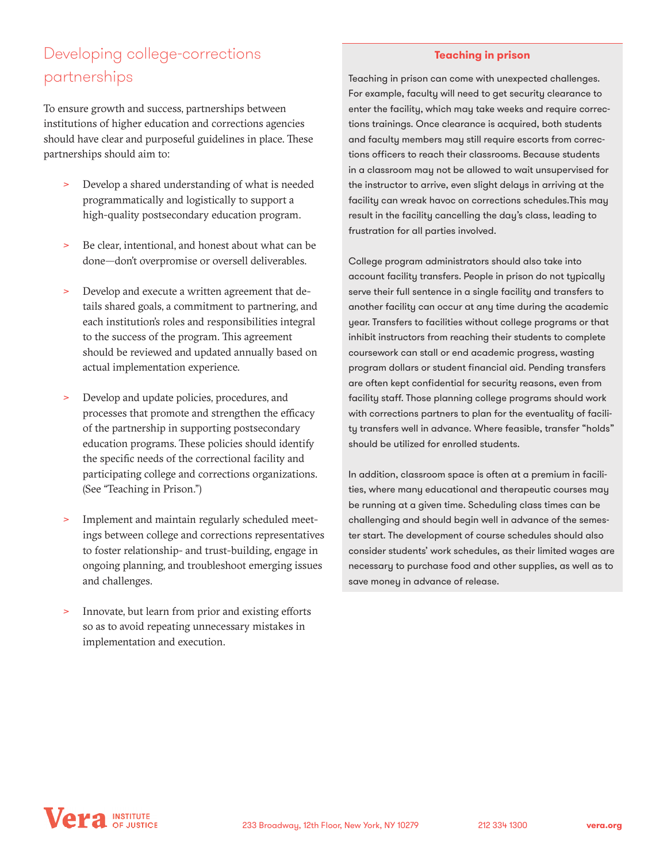## Developing college-corrections partnerships

To ensure growth and success, partnerships between institutions of higher education and corrections agencies should have clear and purposeful guidelines in place. These partnerships should aim to:

- > Develop a shared understanding of what is needed programmatically and logistically to support a high-quality postsecondary education program.
- > Be clear, intentional, and honest about what can be done—don't overpromise or oversell deliverables.
- > Develop and execute a written agreement that details shared goals, a commitment to partnering, and each institution's roles and responsibilities integral to the success of the program. This agreement should be reviewed and updated annually based on actual implementation experience.
- > Develop and update policies, procedures, and processes that promote and strengthen the efficacy of the partnership in supporting postsecondary education programs. These policies should identify the specific needs of the correctional facility and participating college and corrections organizations. (See "Teaching in Prison.")
- Implement and maintain regularly scheduled meetings between college and corrections representatives to foster relationship- and trust-building, engage in ongoing planning, and troubleshoot emerging issues and challenges.
- Innovate, but learn from prior and existing efforts so as to avoid repeating unnecessary mistakes in implementation and execution.

#### **Teaching in prison**

Teaching in prison can come with unexpected challenges. For example, faculty will need to get security clearance to enter the facility, which may take weeks and require corrections trainings. Once clearance is acquired, both students and faculty members may still require escorts from corrections officers to reach their classrooms. Because students in a classroom may not be allowed to wait unsupervised for the instructor to arrive, even slight delays in arriving at the facility can wreak havoc on corrections schedules.This may result in the facility cancelling the day's class, leading to frustration for all parties involved.

College program administrators should also take into account facility transfers. People in prison do not typically serve their full sentence in a single facility and transfers to another facility can occur at any time during the academic year. Transfers to facilities without college programs or that inhibit instructors from reaching their students to complete coursework can stall or end academic progress, wasting program dollars or student financial aid. Pending transfers are often kept confidential for security reasons, even from facility staff. Those planning college programs should work with corrections partners to plan for the eventuality of facility transfers well in advance. Where feasible, transfer "holds" should be utilized for enrolled students.

In addition, classroom space is often at a premium in facilities, where many educational and therapeutic courses may be running at a given time. Scheduling class times can be challenging and should begin well in advance of the semester start. The development of course schedules should also consider students' work schedules, as their limited wages are necessary to purchase food and other supplies, as well as to save money in advance of release.

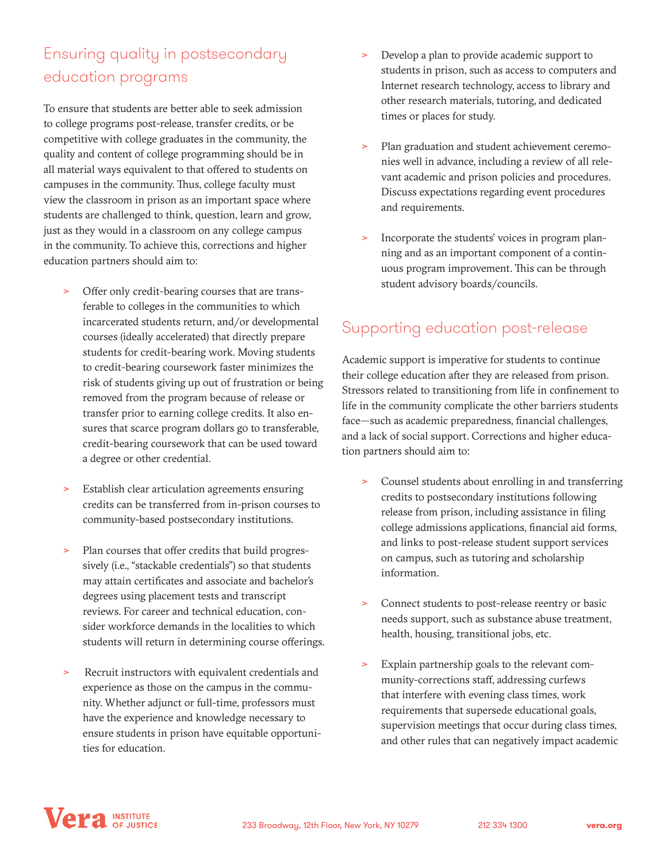## Ensuring quality in postsecondary education programs

To ensure that students are better able to seek admission to college programs post-release, transfer credits, or be competitive with college graduates in the community, the quality and content of college programming should be in all material ways equivalent to that offered to students on campuses in the community. Thus, college faculty must view the classroom in prison as an important space where students are challenged to think, question, learn and grow, just as they would in a classroom on any college campus in the community. To achieve this, corrections and higher education partners should aim to:

- ʺ Offer only credit-bearing courses that are transferable to colleges in the communities to which incarcerated students return, and/or developmental courses (ideally accelerated) that directly prepare students for credit-bearing work. Moving students to credit-bearing coursework faster minimizes the risk of students giving up out of frustration or being removed from the program because of release or transfer prior to earning college credits. It also ensures that scarce program dollars go to transferable, credit-bearing coursework that can be used toward a degree or other credential.
- > Establish clear articulation agreements ensuring credits can be transferred from in-prison courses to community-based postsecondary institutions.
- Plan courses that offer credits that build progressively (i.e., "stackable credentials") so that students may attain certificates and associate and bachelor's degrees using placement tests and transcript reviews. For career and technical education, consider workforce demands in the localities to which students will return in determining course offerings.
- > Recruit instructors with equivalent credentials and experience as those on the campus in the community. Whether adjunct or full-time, professors must have the experience and knowledge necessary to ensure students in prison have equitable opportunities for education.
- Develop a plan to provide academic support to students in prison, such as access to computers and Internet research technology, access to library and other research materials, tutoring, and dedicated times or places for study.
- > Plan graduation and student achievement ceremonies well in advance, including a review of all relevant academic and prison policies and procedures. Discuss expectations regarding event procedures and requirements.
- Incorporate the students' voices in program planning and as an important component of a continuous program improvement. This can be through student advisory boards/councils.

### Supporting education post-release

Academic support is imperative for students to continue their college education after they are released from prison. Stressors related to transitioning from life in confinement to life in the community complicate the other barriers students face—such as academic preparedness, financial challenges, and a lack of social support. Corrections and higher education partners should aim to:

- Counsel students about enrolling in and transferring credits to postsecondary institutions following release from prison, including assistance in filing college admissions applications, financial aid forms, and links to post-release student support services on campus, such as tutoring and scholarship information.
- Connect students to post-release reentry or basic needs support, such as substance abuse treatment, health, housing, transitional jobs, etc.
- Explain partnership goals to the relevant community-corrections staff, addressing curfews that interfere with evening class times, work requirements that supersede educational goals, supervision meetings that occur during class times, and other rules that can negatively impact academic